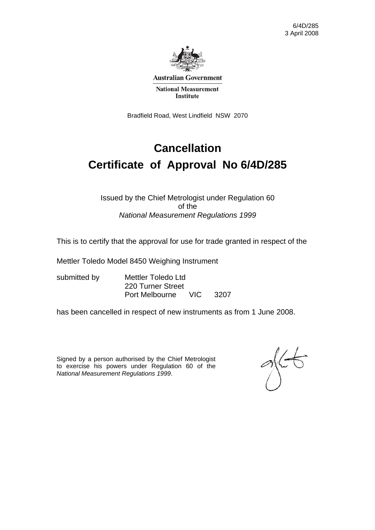

**Australian Government** 

**National Measurement Institute** 

Bradfield Road, West Lindfield NSW 2070

## **Cancellation Certificate of Approval No 6/4D/285**

#### Issued by the Chief Metrologist under Regulation 60 of the *National Measurement Regulations 1999*

This is to certify that the approval for use for trade granted in respect of the

Mettler Toledo Model 8450 Weighing Instrument

submitted by Mettler Toledo Ltd 220 Turner Street Port Melbourne VIC 3207

has been cancelled in respect of new instruments as from 1 June 2008.

Signed by a person authorised by the Chief Metrologist to exercise his powers under Regulation 60 of the *National Measurement Regulations 1999*.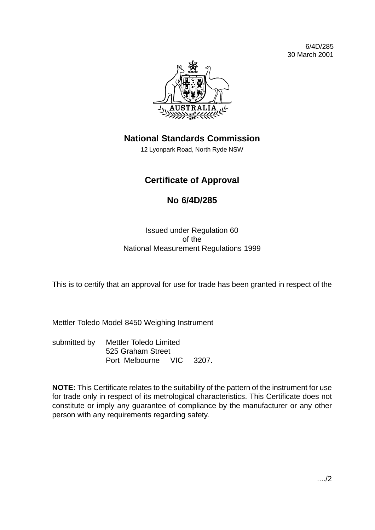

## **National Standards Commission**

12 Lyonpark Road, North Ryde NSW

### **Certificate of Approval**

### **No 6/4D/285**

Issued under Regulation 60 of the National Measurement Regulations 1999

This is to certify that an approval for use for trade has been granted in respect of the

Mettler Toledo Model 8450 Weighing Instrument

submitted by Mettler Toledo Limited 525 Graham Street Port Melbourne VIC 3207.

**NOTE:** This Certificate relates to the suitability of the pattern of the instrument for use for trade only in respect of its metrological characteristics. This Certificate does not constitute or imply any guarantee of compliance by the manufacturer or any other person with any requirements regarding safety.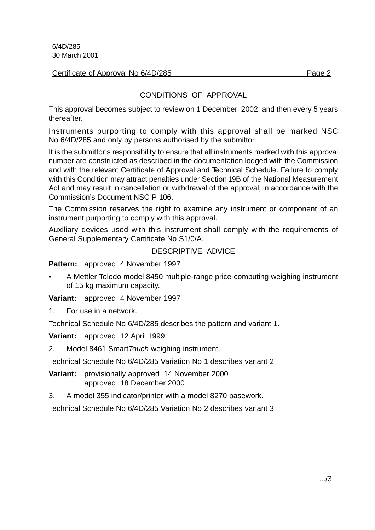Certificate of Approval No 6/4D/285 Page 2

#### CONDITIONS OF APPROVAL

This approval becomes subject to review on 1 December 2002, and then every 5 years thereafter.

Instruments purporting to comply with this approval shall be marked NSC No 6/4D/285 and only by persons authorised by the submittor.

It is the submittor's responsibility to ensure that all instruments marked with this approval number are constructed as described in the documentation lodged with the Commission and with the relevant Certificate of Approval and Technical Schedule. Failure to comply with this Condition may attract penalties under Section 19B of the National Measurement Act and may result in cancellation or withdrawal of the approval, in accordance with the Commission's Document NSC P 106.

The Commission reserves the right to examine any instrument or component of an instrument purporting to comply with this approval.

Auxiliary devices used with this instrument shall comply with the requirements of General Supplementary Certificate No S1/0/A.

#### DESCRIPTIVE ADVICE

**Pattern:** approved 4 November 1997

• A Mettler Toledo model 8450 multiple-range price-computing weighing instrument of 15 kg maximum capacity.

**Variant:** approved 4 November 1997

1. For use in a network.

Technical Schedule No 6/4D/285 describes the pattern and variant 1.

**Variant:** approved 12 April 1999

2. Model 8461 Smart Touch weighing instrument.

Technical Schedule No 6/4D/285 Variation No 1 describes variant 2.

**Variant:** provisionally approved 14 November 2000 approved 18 December 2000

3. A model 355 indicator/printer with a model 8270 basework.

Technical Schedule No 6/4D/285 Variation No 2 describes variant 3.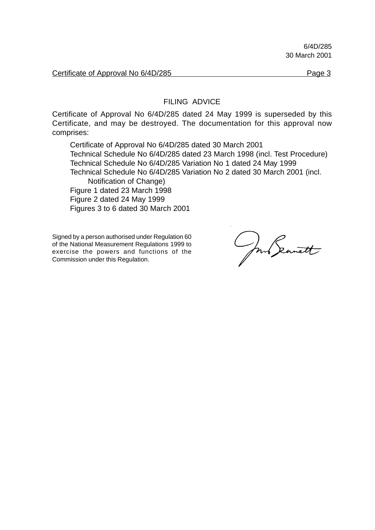Certificate of Approval No 6/4D/285

#### FILING ADVICE

Certificate of Approval No 6/4D/285 dated 24 May 1999 is superseded by this Certificate, and may be destroyed. The documentation for this approval now comprises:

Certificate of Approval No 6/4D/285 dated 30 March 2001 Technical Schedule No 6/4D/285 dated 23 March 1998 (incl. Test Procedure) Technical Schedule No 6/4D/285 Variation No 1 dated 24 May 1999 Technical Schedule No 6/4D/285 Variation No 2 dated 30 March 2001 (incl. Notification of Change) Figure 1 dated 23 March 1998 Figure 2 dated 24 May 1999 Figures 3 to 6 dated 30 March 2001

Signed by a person authorised under Regulation 60 of the National Measurement Regulations 1999 to exercise the powers and functions of the Commission under this Regulation.

mo Seanett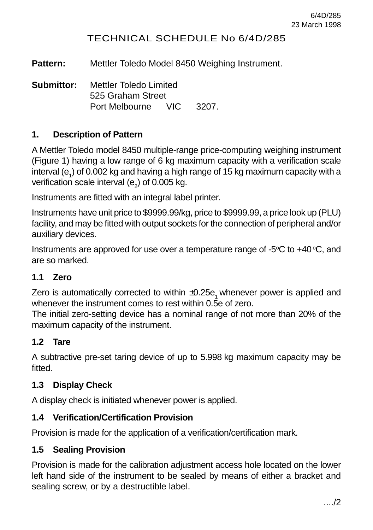#### TECHNICAL SCHEDULE No 6/4D/285

**Pattern:** Mettler Toledo Model 8450 Weighing Instrument.

**Submittor:** Mettler Toledo Limited 525 Graham Street Port Melbourne VIC 3207.

#### **1. Description of Pattern**

A Mettler Toledo model 8450 multiple-range price-computing weighing instrument (Figure 1) having a low range of 6 kg maximum capacity with a verification scale interval (e<sub>1</sub>) of 0.002 kg and having a high range of 15 kg maximum capacity with a verification scale interval (e<sub>2</sub>) of 0.005 kg.

Instruments are fitted with an integral label printer.

Instruments have unit price to \$9999.99/kg, price to \$9999.99, a price look up (PLU) facility, and may be fitted with output sockets for the connection of peripheral and/or auxiliary devices.

Instruments are approved for use over a temperature range of -5 $\rm{^{\circ}C}$  to +40 $\rm{^{\circ}C}$ , and are so marked.

#### **1.1 Zero**

Zero is automatically corrected to within  $\pm 0.25e$ , whenever power is applied and whenever the instrument comes to rest within 0.5e of zero.

The initial zero-setting device has a nominal range of not more than 20% of the maximum capacity of the instrument.

#### **1.2 Tare**

A subtractive pre-set taring device of up to 5.998 kg maximum capacity may be fitted.

#### **1.3 Display Check**

A display check is initiated whenever power is applied.

#### **1.4 Verification/Certification Provision**

Provision is made for the application of a verification/certification mark.

#### **1.5 Sealing Provision**

Provision is made for the calibration adjustment access hole located on the lower left hand side of the instrument to be sealed by means of either a bracket and sealing screw, or by a destructible label.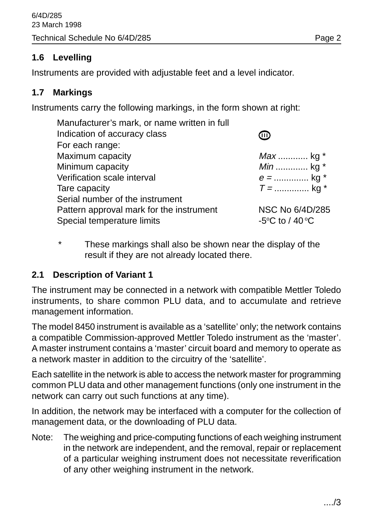#### **1.6 Levelling**

Instruments are provided with adjustable feet and a level indicator.

#### **1.7 Markings**

Instruments carry the following markings, in the form shown at right:

| Manufacturer's mark, or name written in full |                                                      |
|----------------------------------------------|------------------------------------------------------|
| Indication of accuracy class                 | W)                                                   |
| For each range:                              |                                                      |
| Maximum capacity                             | <i>Max</i> kg $*$                                    |
| Minimum capacity                             | <i>Min</i> kg $*$                                    |
| Verification scale interval                  | $e =$ kg *                                           |
| Tare capacity                                | $T =$ kg *                                           |
| Serial number of the instrument              |                                                      |
| Pattern approval mark for the instrument     | NSC No 6/4D/285                                      |
| Special temperature limits                   | -5 $\mathrm{^{\circ}C}$ to / 40 $\mathrm{^{\circ}C}$ |
|                                              |                                                      |

\* These markings shall also be shown near the display of the result if they are not already located there.

#### **2.1 Description of Variant 1**

The instrument may be connected in a network with compatible Mettler Toledo instruments, to share common PLU data, and to accumulate and retrieve management information.

The model 8450 instrument is available as a 'satellite' only; the network contains a compatible Commission-approved Mettler Toledo instrument as the 'master'. A master instrument contains a 'master' circuit board and memory to operate as a network master in addition to the circuitry of the 'satellite'.

Each satellite in the network is able to access the network master for programming common PLU data and other management functions (only one instrument in the network can carry out such functions at any time).

In addition, the network may be interfaced with a computer for the collection of management data, or the downloading of PLU data.

Note: The weighing and price-computing functions of each weighing instrument in the network are independent, and the removal, repair or replacement of a particular weighing instrument does not necessitate reverification of any other weighing instrument in the network.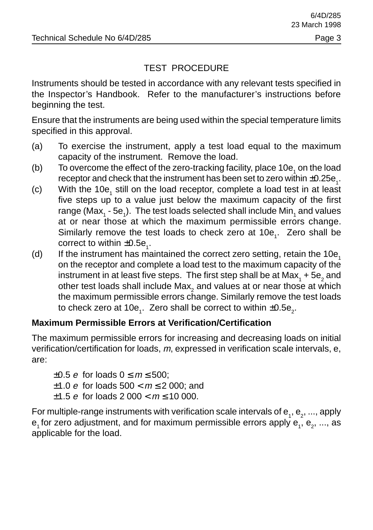#### TEST PROCEDURE

Instruments should be tested in accordance with any relevant tests specified in the Inspector's Handbook. Refer to the manufacturer's instructions before beginning the test.

Ensure that the instruments are being used within the special temperature limits specified in this approval.

- (a) To exercise the instrument, apply a test load equal to the maximum capacity of the instrument. Remove the load.
- (b) To overcome the effect of the zero-tracking facility, place 10e<sub>1</sub> on the load receptor and check that the instrument has been set to zero within  $\pm 0.25{\rm e}_{_1}.$
- (c) With the 10e<sub>1</sub> still on the load receptor, complete a load test in at least five steps up to a value just below the maximum capacity of the first range (Max $_{_1}$  - 5e $_{_1}$ ). The test loads selected shall include Min $_{_1}$  and values at or near those at which the maximum permissible errors change. Similarly remove the test loads to check zero at 10e<sub>1</sub>. Zero shall be correct to within  $\pm 0.5e_1$ .
- (d) If the instrument has maintained the correct zero setting, retain the  $10e<sub>1</sub>$ on the receptor and complete a load test to the maximum capacity of the instrument in at least five steps. The first step shall be at Max $_{_1}$  + 5e $_{2}$  and other test loads shall include Max $_2$  and values at or near those at which the maximum permissible errors change. Similarly remove the test loads to check zero at 10e<sub>1</sub>. Zero shall be correct to within  $\pm$ 0.5e<sub>2</sub>.

#### **Maximum Permissible Errors at Verification/Certification**

The maximum permissible errors for increasing and decreasing loads on initial verification/certification for loads, m, expressed in verification scale intervals, e, are:

 $\pm 0.5$  e for loads  $0 \le m \le 500$ ;  $±1.0 e$  for loads  $500 < m \le 2000$ ; and  $\pm 1.5$  e for loads 2 000 <  $m \le 10$  000.

For multiple-range instruments with verification scale intervals of  ${\sf e}_{_1}, {\sf e}_{_2},...$ , apply  ${\sf e}_{\scriptscriptstyle 1}$ for zero adjustment, and for maximum permissible errors apply  ${\sf e}_{\scriptscriptstyle 1}^{} ,$   ${\sf e}_{\scriptscriptstyle 2}^{} ,$  ..., as applicable for the load.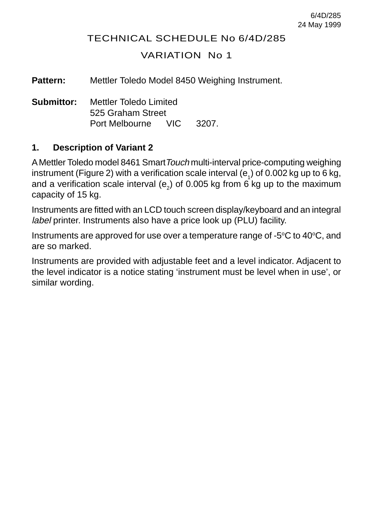#### TECHNICAL SCHEDULE No 6/4D/285

#### VARIATION No 1

**Pattern:** Mettler Toledo Model 8450 Weighing Instrument.

**Submittor:** Mettler Toledo Limited 525 Graham Street Port Melbourne VIC 3207.

#### **1. Description of Variant 2**

A Mettler Toledo model 8461 SmartTouch multi-interval price-computing weighing instrument (Figure 2) with a verification scale interval (e<sub>1</sub>) of 0.002 kg up to 6 kg, and a verification scale interval (e<sub>2</sub>) of 0.005 kg from 6 kg up to the maximum capacity of 15 kg.

Instruments are fitted with an LCD touch screen display/keyboard and an integral label printer. Instruments also have a price look up (PLU) facility.

Instruments are approved for use over a temperature range of -5 $\mathrm{^{\circ}C}$  to 40 $\mathrm{^{\circ}C}$ , and are so marked.

Instruments are provided with adjustable feet and a level indicator. Adjacent to the level indicator is a notice stating 'instrument must be level when in use', or similar wording.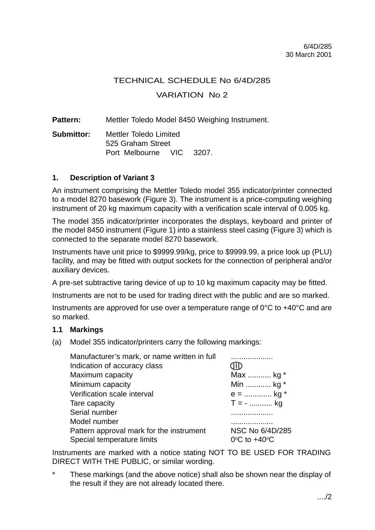### TECHNICAL SCHEDULE No 6/4D/285 VARIATION No 2

Pattern: Mettler Toledo Model 8450 Weighing Instrument.

**Submittor:** Mettler Toledo Limited 525 Graham Street Port Melbourne VIC 3207.

#### **1. Description of Variant 3**

An instrument comprising the Mettler Toledo model 355 indicator/printer connected to a model 8270 basework (Figure 3). The instrument is a price-computing weighing instrument of 20 kg maximum capacity with a verification scale interval of 0.005 kg.

The model 355 indicator/printer incorporates the displays, keyboard and printer of the model 8450 instrument (Figure 1) into a stainless steel casing (Figure 3) which is connected to the separate model 8270 basework.

Instruments have unit price to \$9999.99/kg, price to \$9999.99, a price look up (PLU) facility, and may be fitted with output sockets for the connection of peripheral and/or auxiliary devices.

A pre-set subtractive taring device of up to 10 kg maximum capacity may be fitted.

Instruments are not to be used for trading direct with the public and are so marked.

Instruments are approved for use over a temperature range of 0°C to +40°C and are so marked.

#### **1.1 Markings**

(a) Model 355 indicator/printers carry the following markings:

| Manufacturer's mark, or name written in full |                                   |
|----------------------------------------------|-----------------------------------|
| Indication of accuracy class                 |                                   |
| Maximum capacity                             | Max  kg *                         |
| Minimum capacity                             | Min  kg *                         |
| Verification scale interval                  | $e =$ kg *                        |
| Tare capacity                                | $T = -$ kg                        |
| Serial number                                |                                   |
| Model number                                 | .                                 |
| Pattern approval mark for the instrument     | NSC No 6/4D/285                   |
| Special temperature limits                   | $0^{\circ}$ C to +40 $^{\circ}$ C |

Instruments are marked with a notice stating NOT TO BE USED FOR TRADING DIRECT WITH THE PUBLIC, or similar wording.

These markings (and the above notice) shall also be shown near the display of the result if they are not already located there.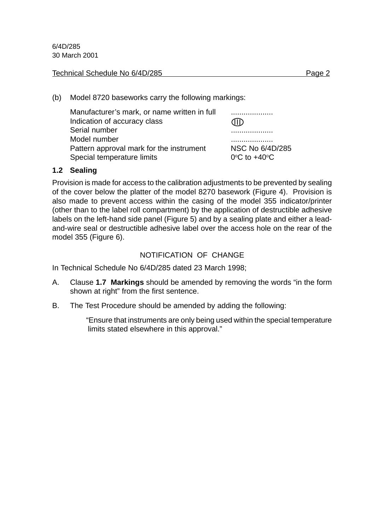#### Technical Schedule No 6/4D/285 Page 2

(b) Model 8720 baseworks carry the following markings:

| Manufacturer's mark, or name written in full |                                  |
|----------------------------------------------|----------------------------------|
| Indication of accuracy class                 | - 41D -                          |
| Serial number                                | .                                |
| Model number                                 |                                  |
| Pattern approval mark for the instrument     | NSC No 6/4D/285                  |
| Special temperature limits                   | $0^{\circ}$ C to $+40^{\circ}$ C |

#### **1.2 Sealing**

Provision is made for access to the calibration adjustments to be prevented by sealing of the cover below the platter of the model 8270 basework (Figure 4). Provision is also made to prevent access within the casing of the model 355 indicator/printer (other than to the label roll compartment) by the application of destructible adhesive labels on the left-hand side panel (Figure 5) and by a sealing plate and either a leadand-wire seal or destructible adhesive label over the access hole on the rear of the model 355 (Figure 6).

#### NOTIFICATION OF CHANGE

In Technical Schedule No 6/4D/285 dated 23 March 1998;

- A. Clause **1.7 Markings** should be amended by removing the words "in the form shown at right" from the first sentence.
- B. The Test Procedure should be amended by adding the following:

"Ensure that instruments are only being used within the special temperature limits stated elsewhere in this approval."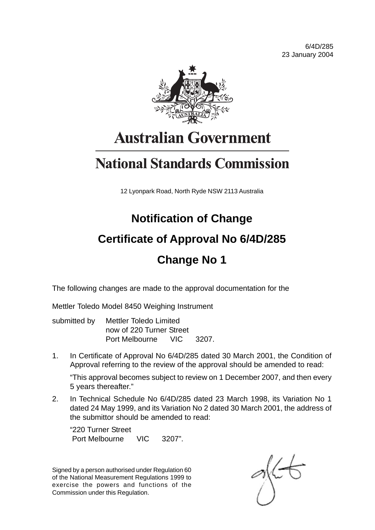6/4D/285 23 January 2004



# **Australian Government**

# **National Standards Commission**

12 Lyonpark Road, North Ryde NSW 2113 Australia

## **Notification of Change**

## **Certificate of Approval No 6/4D/285**

## **Change No 1**

The following changes are made to the approval documentation for the

Mettler Toledo Model 8450 Weighing Instrument

| submitted by Mettler Toledo Limited |  |  |
|-------------------------------------|--|--|
| now of 220 Turner Street            |  |  |
| Port Melbourne VIC 3207.            |  |  |

1. In Certificate of Approval No 6/4D/285 dated 30 March 2001, the Condition of Approval referring to the review of the approval should be amended to read:

"This approval becomes subject to review on 1 December 2007, and then every 5 years thereafter."

2. In Technical Schedule No 6/4D/285 dated 23 March 1998, its Variation No 1 dated 24 May 1999, and its Variation No 2 dated 30 March 2001, the address of the submittor should be amended to read:

"220 Turner Street Port Melbourne VIC 3207".

Signed by a person authorised under Regulation 60 of the National Measurement Regulations 1999 to exercise the powers and functions of the Commission under this Regulation.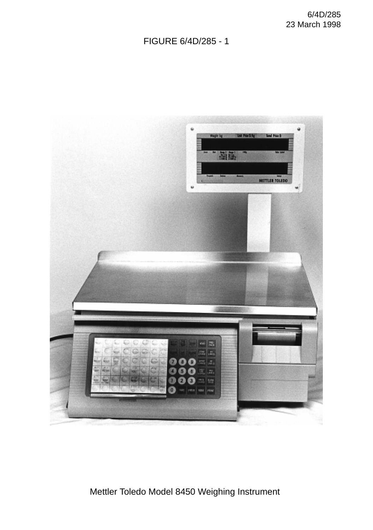### FIGURE 6/4D/285 - 1



Mettler Toledo Model 8450 Weighing Instrument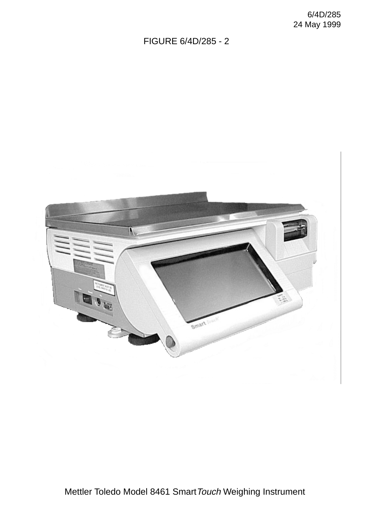#### FIGURE 6/4D/285 - 2



Mettler Toledo Model 8461 Smart Touch Weighing Instrument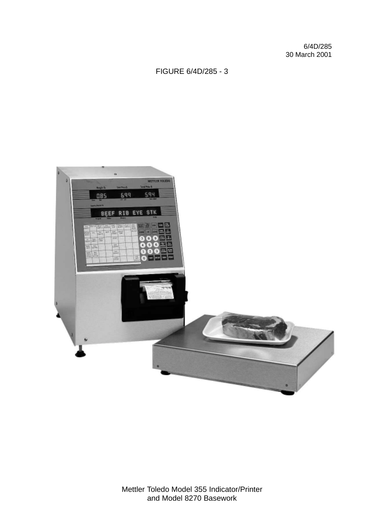#### FIGURE 6/4D/285 - 3



Mettler Toledo Model 355 Indicator/Printer and Model 8270 Basework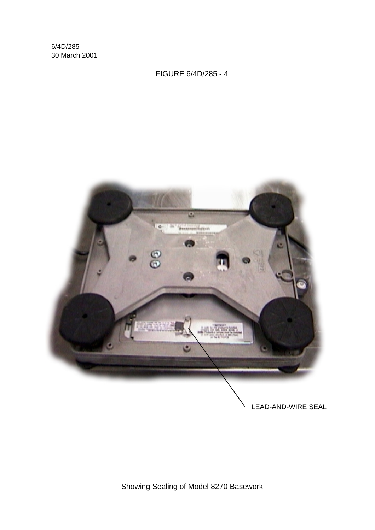FIGURE 6/4D/285 - 4



LEAD-AND-WIRE SEAL

Showing Sealing of Model 8270 Basework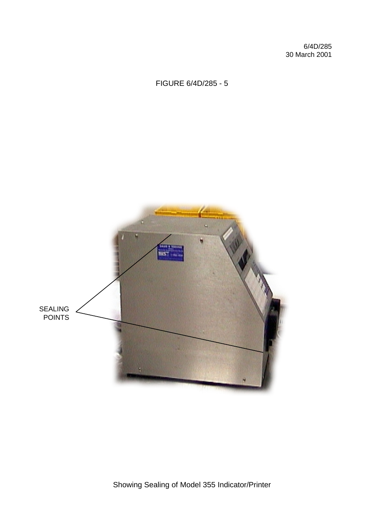## FIGURE 6/4D/285 - 5